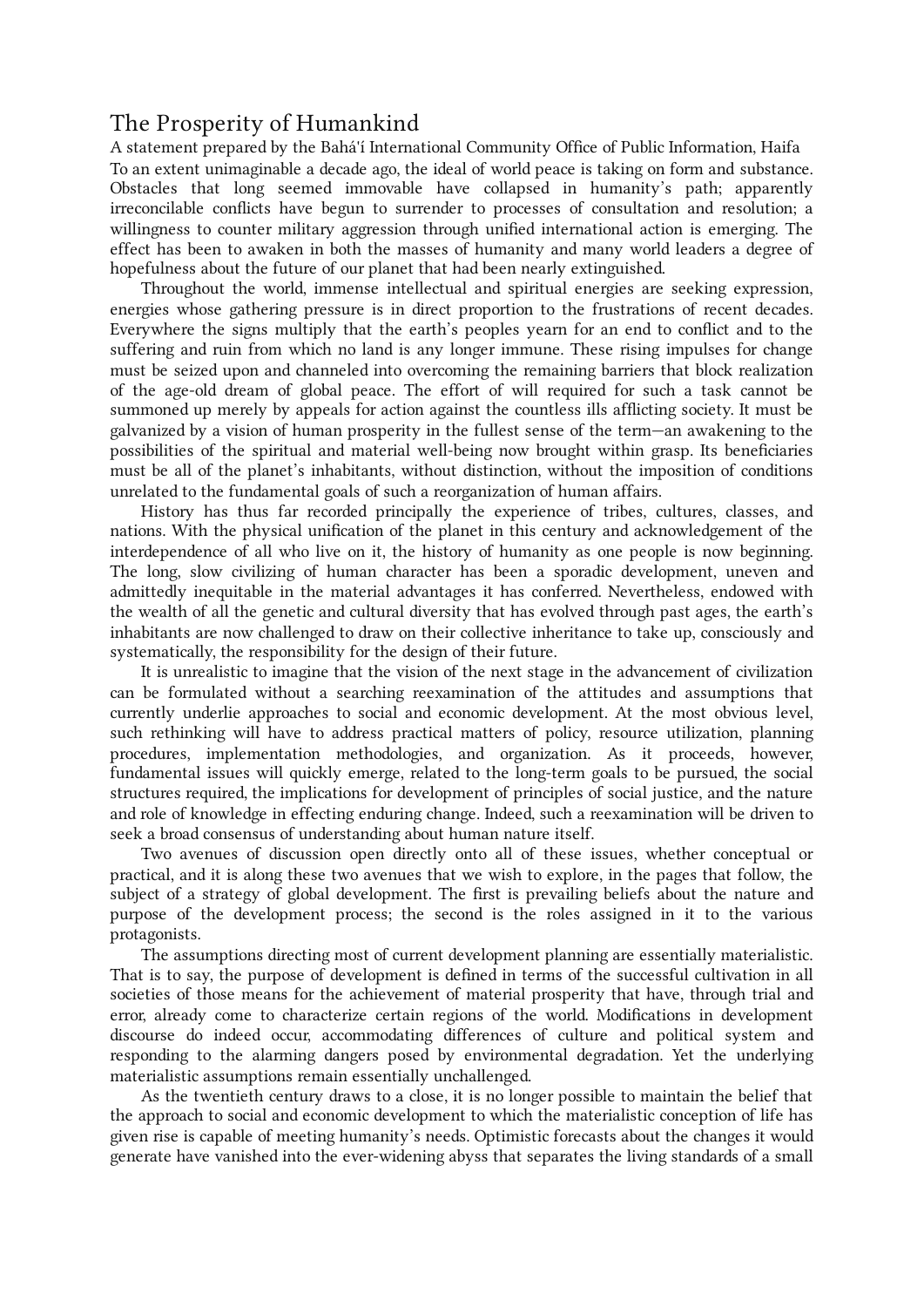# The Prosperity of Humankind

A statement prepared by the Bahá'í International Community Office of Public Information, Haifa To an extent unimaginable a decade ago, the ideal of world peace is taking on form and substance. Obstacles that long seemed immovable have collapsed in humanity's path; apparently irreconcilable conflicts have begun to surrender to processes of consultation and resolution; a willingness to counter military aggression through unified international action is emerging. The effect has been to awaken in both the masses of humanity and many world leaders a degree of hopefulness about the future of our planet that had been nearly extinguished.

Throughout the world, immense intellectual and spiritual energies are seeking expression, energies whose gathering pressure is in direct proportion to the frustrations of recent decades. Everywhere the signs multiply that the earth's peoples yearn for an end to conflict and to the suffering and ruin from which no land is any longer immune. These rising impulses for change must be seized upon and channeled into overcoming the remaining barriers that block realization of the age-old dream of global peace. The effort of will required for such a task cannot be summoned up merely by appeals for action against the countless ills afflicting society. It must be galvanized by a vision of human prosperity in the fullest sense of the term—an awakening to the possibilities of the spiritual and material well-being now brought within grasp. Its beneficiaries must be all of the planet's inhabitants, without distinction, without the imposition of conditions unrelated to the fundamental goals of such a reorganization of human affairs.

History has thus far recorded principally the experience of tribes, cultures, classes, and nations. With the physical unification of the planet in this century and acknowledgement of the interdependence of all who live on it, the history of humanity as one people is now beginning. The long, slow civilizing of human character has been a sporadic development, uneven and admittedly inequitable in the material advantages it has conferred. Nevertheless, endowed with the wealth of all the genetic and cultural diversity that has evolved through past ages, the earth's inhabitants are now challenged to draw on their collective inheritance to take up, consciously and systematically, the responsibility for the design of their future.

It is unrealistic to imagine that the vision of the next stage in the advancement of civilization can be formulated without a searching reexamination of the attitudes and assumptions that currently underlie approaches to social and economic development. At the most obvious level, such rethinking will have to address practical matters of policy, resource utilization, planning procedures, implementation methodologies, and organization. As it proceeds, however, fundamental issues will quickly emerge, related to the long-term goals to be pursued, the social structures required, the implications for development of principles of social justice, and the nature and role of knowledge in effecting enduring change. Indeed, such a reexamination will be driven to seek a broad consensus of understanding about human nature itself.

Two avenues of discussion open directly onto all of these issues, whether conceptual or practical, and it is along these two avenues that we wish to explore, in the pages that follow, the subject of a strategy of global development. The first is prevailing beliefs about the nature and purpose of the development process; the second is the roles assigned in it to the various protagonists.

The assumptions directing most of current development planning are essentially materialistic. That is to say, the purpose of development is defined in terms of the successful cultivation in all societies of those means for the achievement of material prosperity that have, through trial and error, already come to characterize certain regions of the world. Modifications in development discourse do indeed occur, accommodating differences of culture and political system and responding to the alarming dangers posed by environmental degradation. Yet the underlying materialistic assumptions remain essentially unchallenged.

As the twentieth century draws to a close, it is no longer possible to maintain the belief that the approach to social and economic development to which the materialistic conception of life has given rise is capable of meeting humanity's needs. Optimistic forecasts about the changes it would generate have vanished into the ever-widening abyss that separates the living standards of a small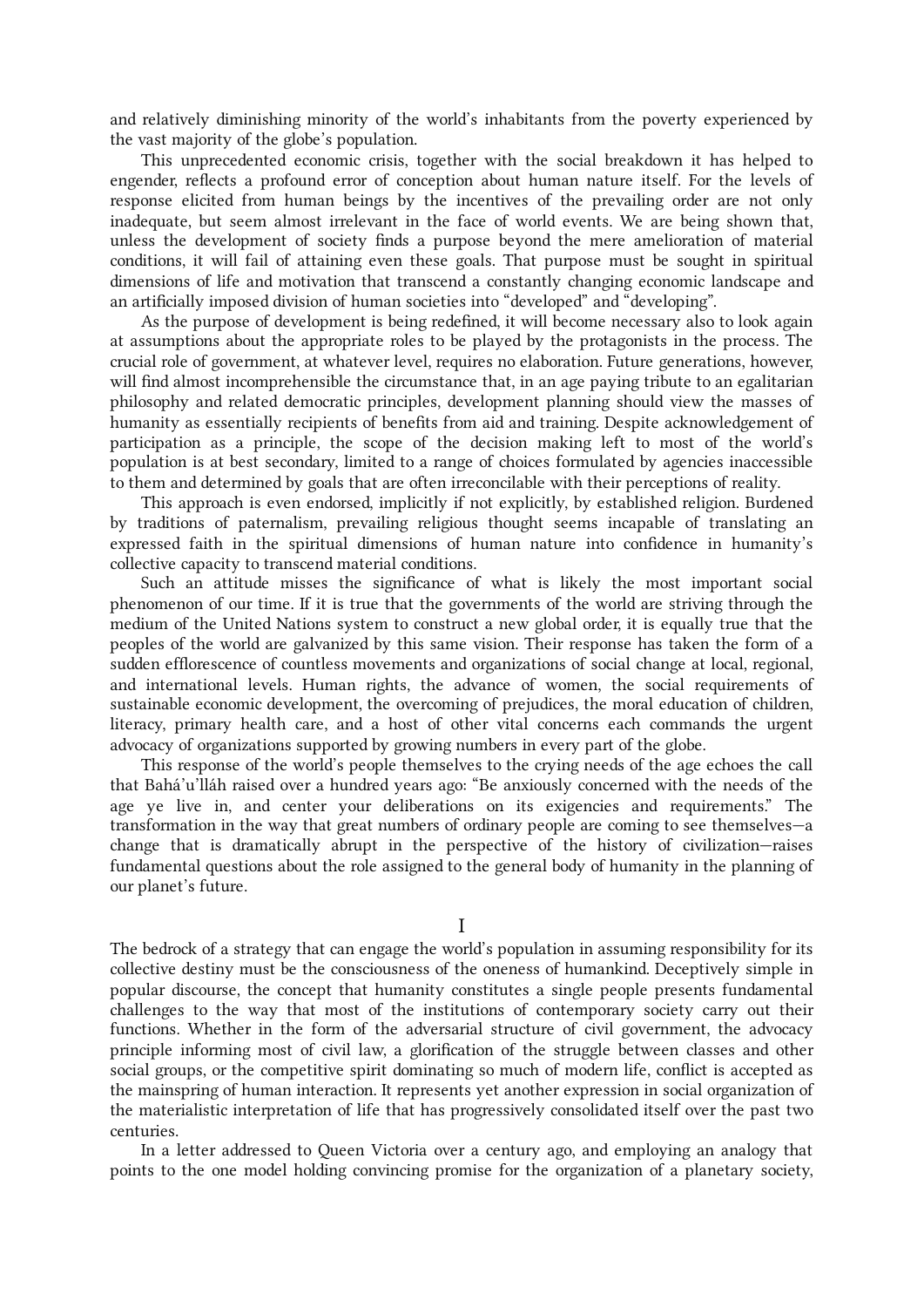and relatively diminishing minority of the world's inhabitants from the poverty experienced by the vast majority of the globe's population.

This unprecedented economic crisis, together with the social breakdown it has helped to engender, reflects a profound error of conception about human nature itself. For the levels of response elicited from human beings by the incentives of the prevailing order are not only inadequate, but seem almost irrelevant in the face of world events. We are being shown that, unless the development of society finds a purpose beyond the mere amelioration of material conditions, it will fail of attaining even these goals. That purpose must be sought in spiritual dimensions of life and motivation that transcend a constantly changing economic landscape and an artificially imposed division of human societies into "developed" and "developing".

As the purpose of development is being redefined, it will become necessary also to look again at assumptions about the appropriate roles to be played by the protagonists in the process. The crucial role of government, at whatever level, requires no elaboration. Future generations, however, will find almost incomprehensible the circumstance that, in an age paying tribute to an egalitarian philosophy and related democratic principles, development planning should view the masses of humanity as essentially recipients of benefits from aid and training. Despite acknowledgement of participation as a principle, the scope of the decision making left to most of the world's population is at best secondary, limited to a range of choices formulated by agencies inaccessible to them and determined by goals that are often irreconcilable with their perceptions of reality.

This approach is even endorsed, implicitly if not explicitly, by established religion. Burdened by traditions of paternalism, prevailing religious thought seems incapable of translating an expressed faith in the spiritual dimensions of human nature into confidence in humanity's collective capacity to transcend material conditions.

Such an attitude misses the significance of what is likely the most important social phenomenon of our time. If it is true that the governments of the world are striving through the medium of the United Nations system to construct a new global order, it is equally true that the peoples of the world are galvanized by this same vision. Their response has taken the form of a sudden efflorescence of countless movements and organizations of social change at local, regional, and international levels. Human rights, the advance of women, the social requirements of sustainable economic development, the overcoming of prejudices, the moral education of children, literacy, primary health care, and a host of other vital concerns each commands the urgent advocacy of organizations supported by growing numbers in every part of the globe.

This response of the world's people themselves to the crying needs of the age echoes the call that Bahá'u'lláh raised over a hundred years ago: "Be anxiously concerned with the needs of the age ye live in, and center your deliberations on its exigencies and requirements." The transformation in the way that great numbers of ordinary people are coming to see themselves—a change that is dramatically abrupt in the perspective of the history of civilization—raises fundamental questions about the role assigned to the general body of humanity in the planning of our planet's future.

I

The bedrock of a strategy that can engage the world's population in assuming responsibility for its collective destiny must be the consciousness of the oneness of humankind. Deceptively simple in popular discourse, the concept that humanity constitutes a single people presents fundamental challenges to the way that most of the institutions of contemporary society carry out their functions. Whether in the form of the adversarial structure of civil government, the advocacy principle informing most of civil law, a glorification of the struggle between classes and other social groups, or the competitive spirit dominating so much of modern life, conflict is accepted as the mainspring of human interaction. It represents yet another expression in social organization of the materialistic interpretation of life that has progressively consolidated itself over the past two centuries.

In a letter addressed to Queen Victoria over a century ago, and employing an analogy that points to the one model holding convincing promise for the organization of a planetary society,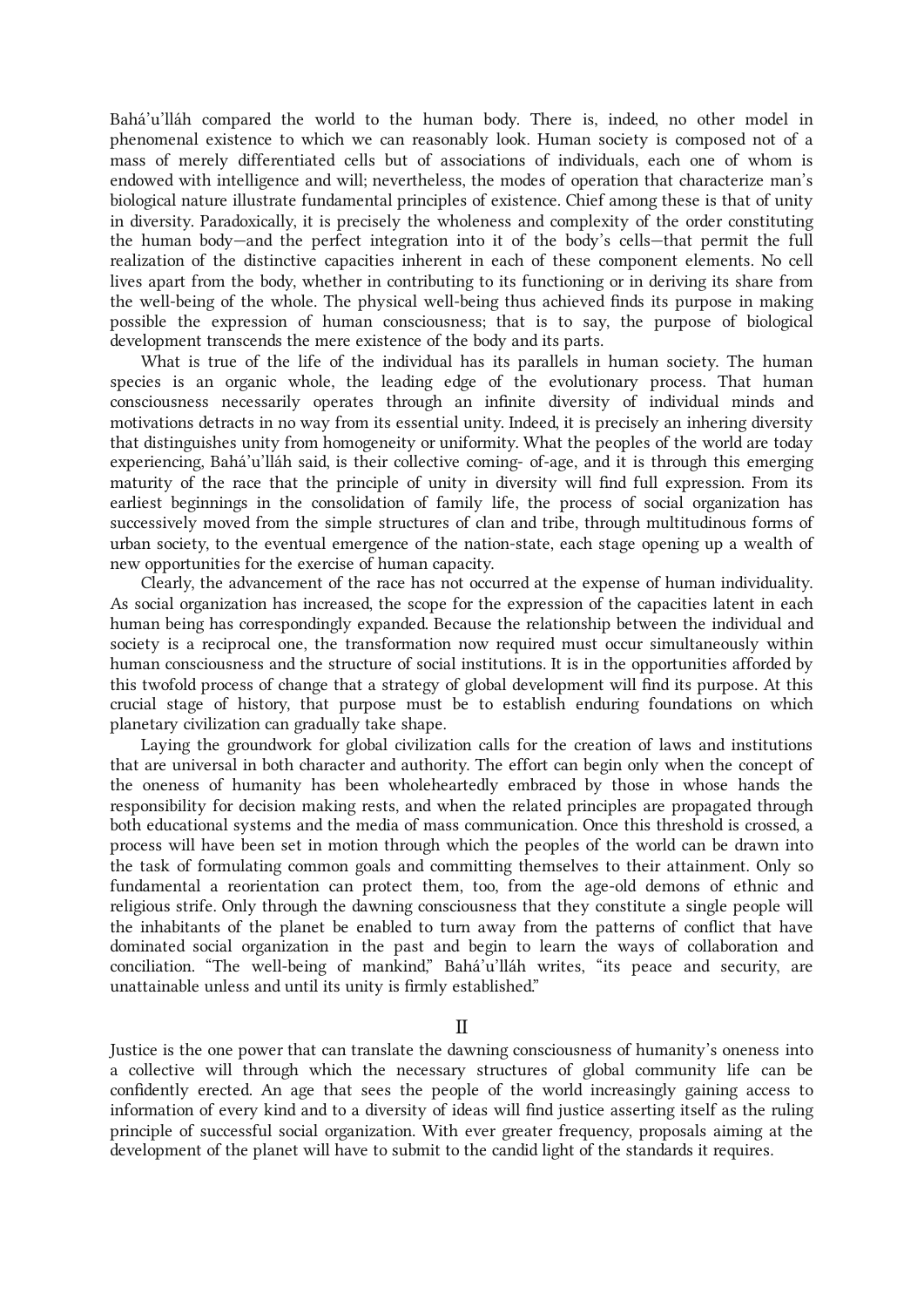Bahá'u'lláh compared the world to the human body. There is, indeed, no other model in phenomenal existence to which we can reasonably look. Human society is composed not of a mass of merely differentiated cells but of associations of individuals, each one of whom is endowed with intelligence and will; nevertheless, the modes of operation that characterize man's biological nature illustrate fundamental principles of existence. Chief among these is that of unity in diversity. Paradoxically, it is precisely the wholeness and complexity of the order constituting the human body—and the perfect integration into it of the body's cells—that permit the full realization of the distinctive capacities inherent in each of these component elements. No cell lives apart from the body, whether in contributing to its functioning or in deriving its share from the well-being of the whole. The physical well-being thus achieved finds its purpose in making possible the expression of human consciousness; that is to say, the purpose of biological development transcends the mere existence of the body and its parts.

What is true of the life of the individual has its parallels in human society. The human species is an organic whole, the leading edge of the evolutionary process. That human consciousness necessarily operates through an infinite diversity of individual minds and motivations detracts in no way from its essential unity. Indeed, it is precisely an inhering diversity that distinguishes unity from homogeneity or uniformity. What the peoples of the world are today experiencing, Bahá'u'lláh said, is their collective coming- of-age, and it is through this emerging maturity of the race that the principle of unity in diversity will find full expression. From its earliest beginnings in the consolidation of family life, the process of social organization has successively moved from the simple structures of clan and tribe, through multitudinous forms of urban society, to the eventual emergence of the nation-state, each stage opening up a wealth of new opportunities for the exercise of human capacity.

Clearly, the advancement of the race has not occurred at the expense of human individuality. As social organization has increased, the scope for the expression of the capacities latent in each human being has correspondingly expanded. Because the relationship between the individual and society is a reciprocal one, the transformation now required must occur simultaneously within human consciousness and the structure of social institutions. It is in the opportunities afforded by this twofold process of change that a strategy of global development will find its purpose. At this crucial stage of history, that purpose must be to establish enduring foundations on which planetary civilization can gradually take shape.

Laying the groundwork for global civilization calls for the creation of laws and institutions that are universal in both character and authority. The effort can begin only when the concept of the oneness of humanity has been wholeheartedly embraced by those in whose hands the responsibility for decision making rests, and when the related principles are propagated through both educational systems and the media of mass communication. Once this threshold is crossed, a process will have been set in motion through which the peoples of the world can be drawn into the task of formulating common goals and committing themselves to their attainment. Only so fundamental a reorientation can protect them, too, from the age-old demons of ethnic and religious strife. Only through the dawning consciousness that they constitute a single people will the inhabitants of the planet be enabled to turn away from the patterns of conflict that have dominated social organization in the past and begin to learn the ways of collaboration and conciliation. "The well-being of mankind," Bahá'u'lláh writes, "its peace and security, are unattainable unless and until its unity is firmly established."

II

Justice is the one power that can translate the dawning consciousness of humanity's oneness into a collective will through which the necessary structures of global community life can be confidently erected. An age that sees the people of the world increasingly gaining access to information of every kind and to a diversity of ideas will find justice asserting itself as the ruling principle of successful social organization. With ever greater frequency, proposals aiming at the development of the planet will have to submit to the candid light of the standards it requires.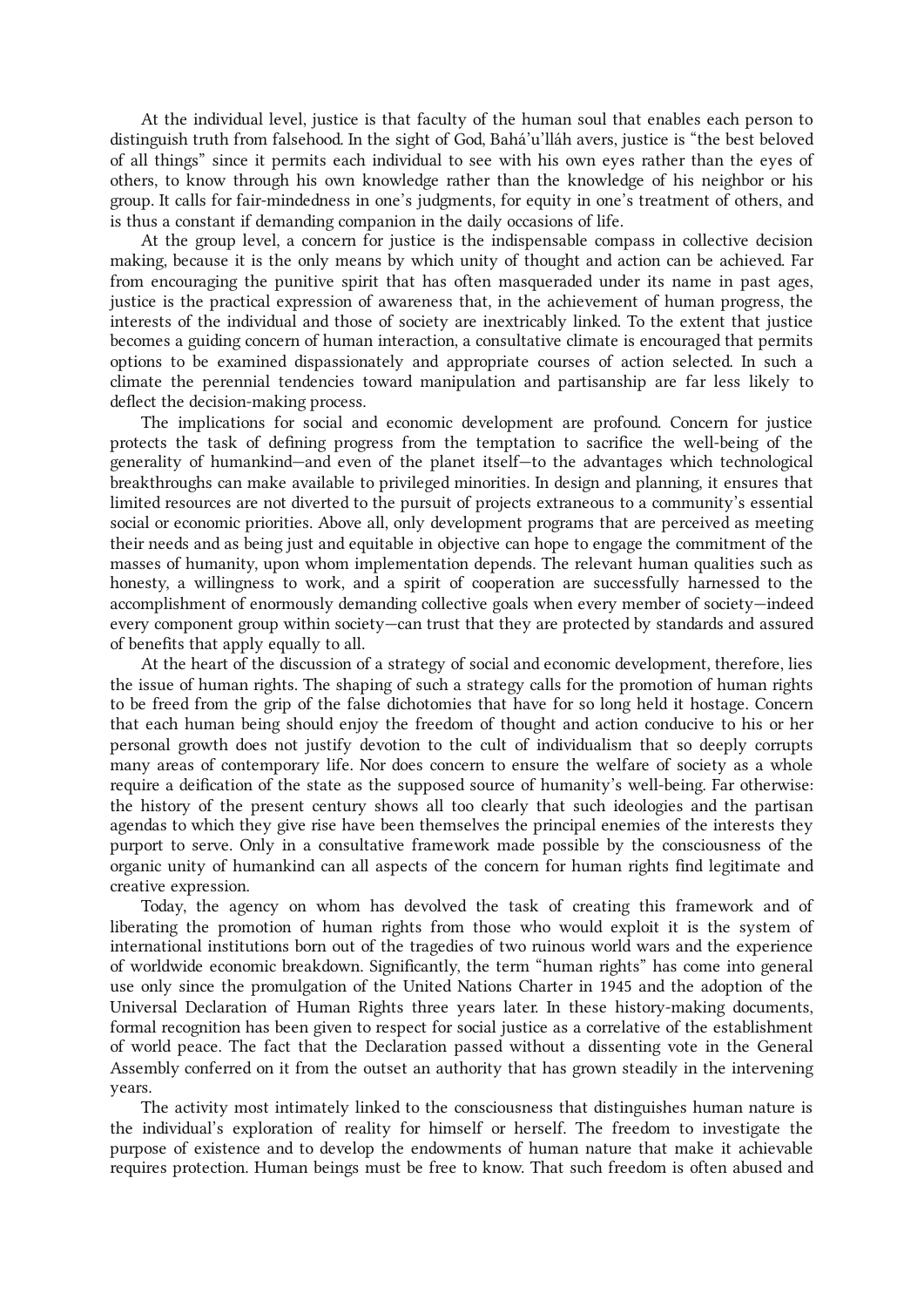At the individual level, justice is that faculty of the human soul that enables each person to distinguish truth from falsehood. In the sight of God, Bahá'u'lláh avers, justice is "the best beloved of all things" since it permits each individual to see with his own eyes rather than the eyes of others, to know through his own knowledge rather than the knowledge of his neighbor or his group. It calls for fair-mindedness in one's judgments, for equity in one's treatment of others, and is thus a constant if demanding companion in the daily occasions of life.

At the group level, a concern for justice is the indispensable compass in collective decision making, because it is the only means by which unity of thought and action can be achieved. Far from encouraging the punitive spirit that has often masqueraded under its name in past ages, justice is the practical expression of awareness that, in the achievement of human progress, the interests of the individual and those of society are inextricably linked. To the extent that justice becomes a guiding concern of human interaction, a consultative climate is encouraged that permits options to be examined dispassionately and appropriate courses of action selected. In such a climate the perennial tendencies toward manipulation and partisanship are far less likely to deflect the decision-making process.

The implications for social and economic development are profound. Concern for justice protects the task of defining progress from the temptation to sacrifice the well-being of the generality of humankind—and even of the planet itself—to the advantages which technological breakthroughs can make available to privileged minorities. In design and planning, it ensures that limited resources are not diverted to the pursuit of projects extraneous to a community's essential social or economic priorities. Above all, only development programs that are perceived as meeting their needs and as being just and equitable in objective can hope to engage the commitment of the masses of humanity, upon whom implementation depends. The relevant human qualities such as honesty, a willingness to work, and a spirit of cooperation are successfully harnessed to the accomplishment of enormously demanding collective goals when every member of society—indeed every component group within society—can trust that they are protected by standards and assured of benefits that apply equally to all.

At the heart of the discussion of a strategy of social and economic development, therefore, lies the issue of human rights. The shaping of such a strategy calls for the promotion of human rights to be freed from the grip of the false dichotomies that have for so long held it hostage. Concern that each human being should enjoy the freedom of thought and action conducive to his or her personal growth does not justify devotion to the cult of individualism that so deeply corrupts many areas of contemporary life. Nor does concern to ensure the welfare of society as a whole require a deification of the state as the supposed source of humanity's well-being. Far otherwise: the history of the present century shows all too clearly that such ideologies and the partisan agendas to which they give rise have been themselves the principal enemies of the interests they purport to serve. Only in a consultative framework made possible by the consciousness of the organic unity of humankind can all aspects of the concern for human rights find legitimate and creative expression.

Today, the agency on whom has devolved the task of creating this framework and of liberating the promotion of human rights from those who would exploit it is the system of international institutions born out of the tragedies of two ruinous world wars and the experience of worldwide economic breakdown. Significantly, the term "human rights" has come into general use only since the promulgation of the United Nations Charter in 1945 and the adoption of the Universal Declaration of Human Rights three years later. In these history-making documents, formal recognition has been given to respect for social justice as a correlative of the establishment of world peace. The fact that the Declaration passed without a dissenting vote in the General Assembly conferred on it from the outset an authority that has grown steadily in the intervening years.

The activity most intimately linked to the consciousness that distinguishes human nature is the individual's exploration of reality for himself or herself. The freedom to investigate the purpose of existence and to develop the endowments of human nature that make it achievable requires protection. Human beings must be free to know. That such freedom is often abused and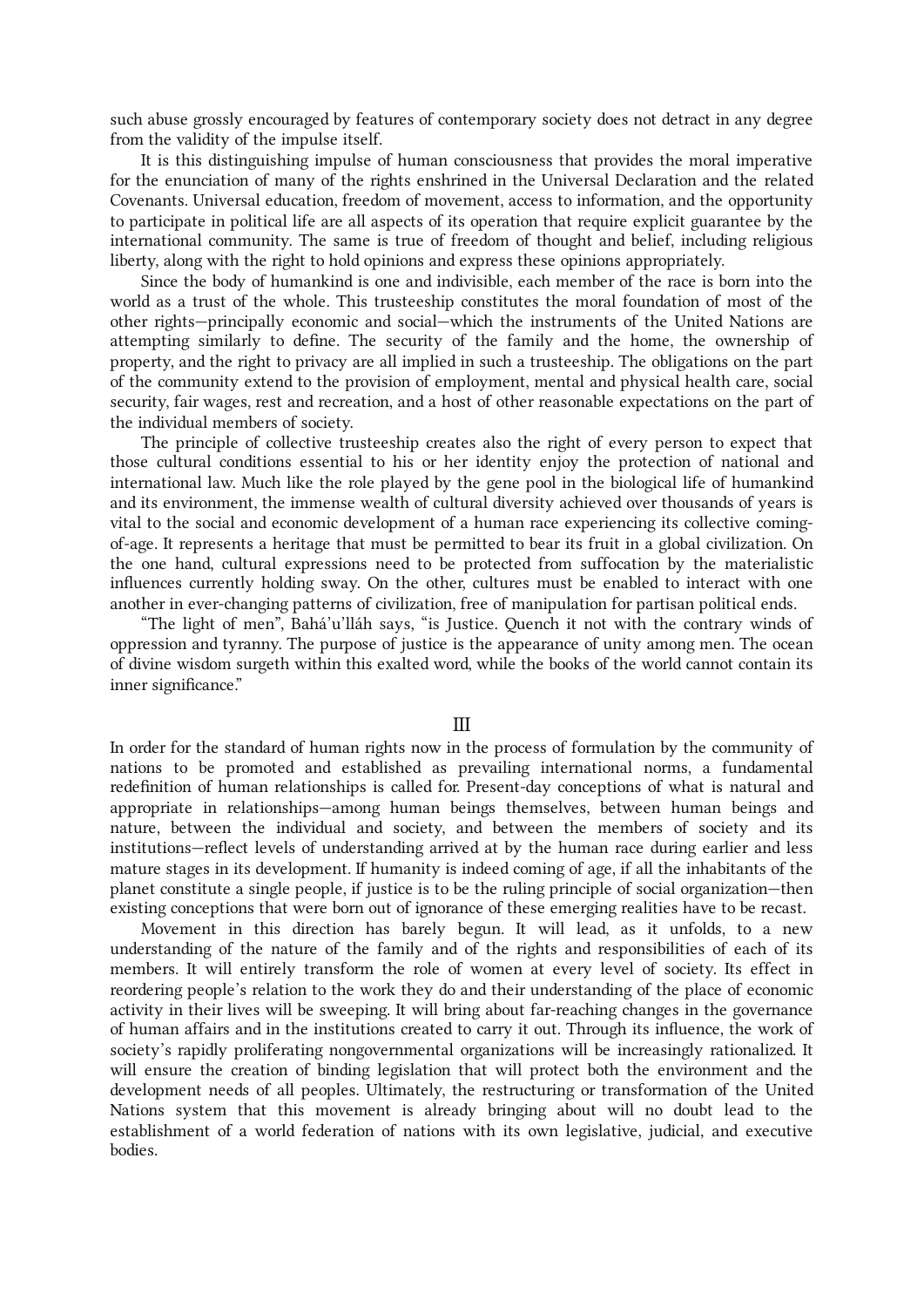such abuse grossly encouraged by features of contemporary society does not detract in any degree from the validity of the impulse itself.

It is this distinguishing impulse of human consciousness that provides the moral imperative for the enunciation of many of the rights enshrined in the Universal Declaration and the related Covenants. Universal education, freedom of movement, access to information, and the opportunity to participate in political life are all aspects of its operation that require explicit guarantee by the international community. The same is true of freedom of thought and belief, including religious liberty, along with the right to hold opinions and express these opinions appropriately.

Since the body of humankind is one and indivisible, each member of the race is born into the world as a trust of the whole. This trusteeship constitutes the moral foundation of most of the other rights—principally economic and social—which the instruments of the United Nations are attempting similarly to define. The security of the family and the home, the ownership of property, and the right to privacy are all implied in such a trusteeship. The obligations on the part of the community extend to the provision of employment, mental and physical health care, social security, fair wages, rest and recreation, and a host of other reasonable expectations on the part of the individual members of society.

The principle of collective trusteeship creates also the right of every person to expect that those cultural conditions essential to his or her identity enjoy the protection of national and international law. Much like the role played by the gene pool in the biological life of humankind and its environment, the immense wealth of cultural diversity achieved over thousands of years is vital to the social and economic development of a human race experiencing its collective comingof-age. It represents a heritage that must be permitted to bear its fruit in a global civilization. On the one hand, cultural expressions need to be protected from suffocation by the materialistic influences currently holding sway. On the other, cultures must be enabled to interact with one another in ever-changing patterns of civilization, free of manipulation for partisan political ends.

"The light of men", Bahá'u'lláh says, "is Justice. Quench it not with the contrary winds of oppression and tyranny. The purpose of justice is the appearance of unity among men. The ocean of divine wisdom surgeth within this exalted word, while the books of the world cannot contain its inner significance."

## III

In order for the standard of human rights now in the process of formulation by the community of nations to be promoted and established as prevailing international norms, a fundamental redefinition of human relationships is called for. Present-day conceptions of what is natural and appropriate in relationships—among human beings themselves, between human beings and nature, between the individual and society, and between the members of society and its institutions—reflect levels of understanding arrived at by the human race during earlier and less mature stages in its development. If humanity is indeed coming of age, if all the inhabitants of the planet constitute a single people, if justice is to be the ruling principle of social organization—then existing conceptions that were born out of ignorance of these emerging realities have to be recast.

Movement in this direction has barely begun. It will lead, as it unfolds, to a new understanding of the nature of the family and of the rights and responsibilities of each of its members. It will entirely transform the role of women at every level of society. Its effect in reordering people's relation to the work they do and their understanding of the place of economic activity in their lives will be sweeping. It will bring about far-reaching changes in the governance of human affairs and in the institutions created to carry it out. Through its influence, the work of society's rapidly proliferating nongovernmental organizations will be increasingly rationalized. It will ensure the creation of binding legislation that will protect both the environment and the development needs of all peoples. Ultimately, the restructuring or transformation of the United Nations system that this movement is already bringing about will no doubt lead to the establishment of a world federation of nations with its own legislative, judicial, and executive bodies.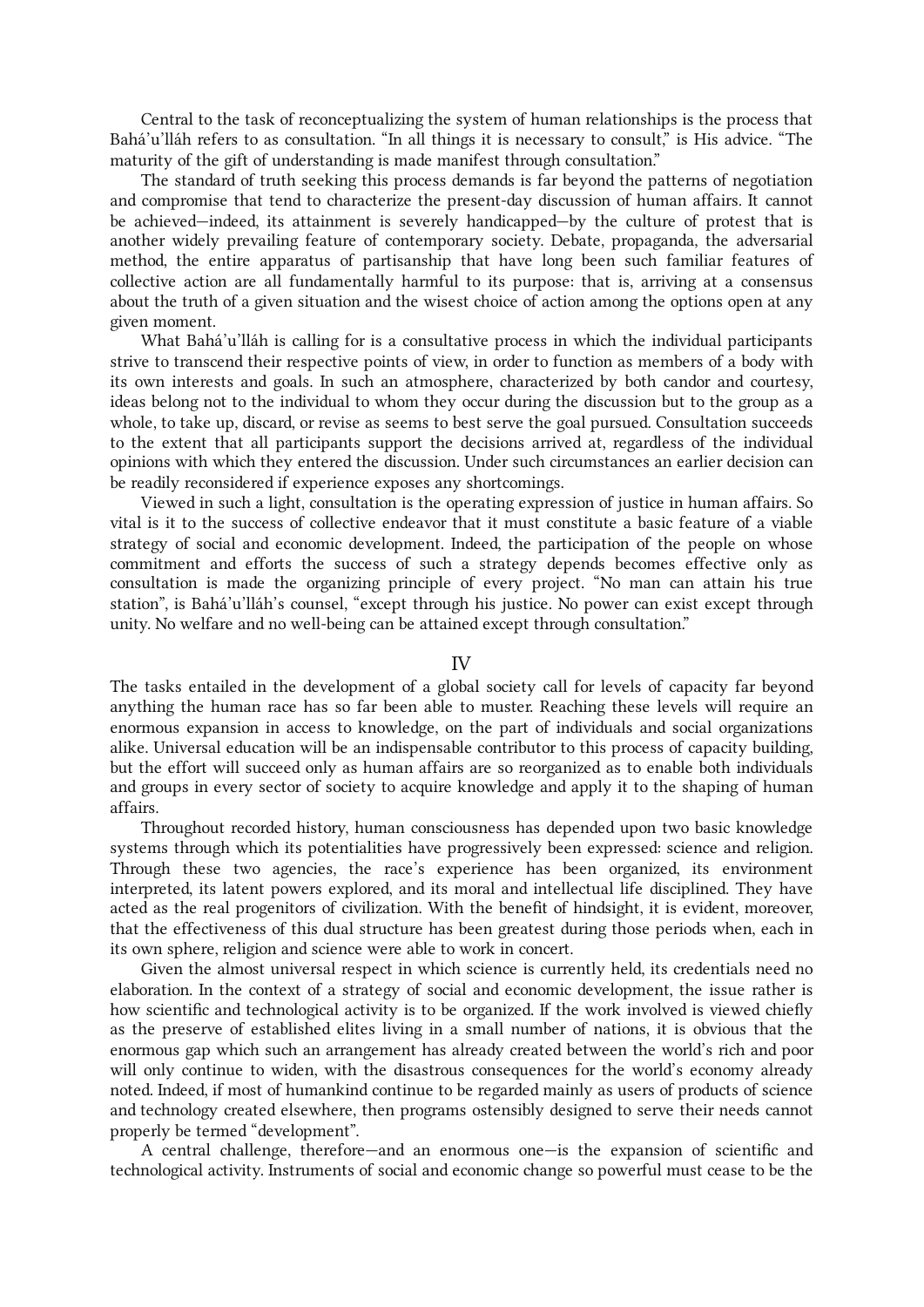Central to the task of reconceptualizing the system of human relationships is the process that Bahá'u'lláh refers to as consultation. "In all things it is necessary to consult," is His advice. "The maturity of the gift of understanding is made manifest through consultation."

The standard of truth seeking this process demands is far beyond the patterns of negotiation and compromise that tend to characterize the present-day discussion of human affairs. It cannot be achieved—indeed, its attainment is severely handicapped—by the culture of protest that is another widely prevailing feature of contemporary society. Debate, propaganda, the adversarial method, the entire apparatus of partisanship that have long been such familiar features of collective action are all fundamentally harmful to its purpose: that is, arriving at a consensus about the truth of a given situation and the wisest choice of action among the options open at any given moment.

What Bahá'u'lláh is calling for is a consultative process in which the individual participants strive to transcend their respective points of view, in order to function as members of a body with its own interests and goals. In such an atmosphere, characterized by both candor and courtesy, ideas belong not to the individual to whom they occur during the discussion but to the group as a whole, to take up, discard, or revise as seems to best serve the goal pursued. Consultation succeeds to the extent that all participants support the decisions arrived at, regardless of the individual opinions with which they entered the discussion. Under such circumstances an earlier decision can be readily reconsidered if experience exposes any shortcomings.

Viewed in such a light, consultation is the operating expression of justice in human affairs. So vital is it to the success of collective endeavor that it must constitute a basic feature of a viable strategy of social and economic development. Indeed, the participation of the people on whose commitment and efforts the success of such a strategy depends becomes effective only as consultation is made the organizing principle of every project. "No man can attain his true station", is Bahá'u'lláh's counsel, "except through his justice. No power can exist except through unity. No welfare and no well-being can be attained except through consultation."

### IV

The tasks entailed in the development of a global society call for levels of capacity far beyond anything the human race has so far been able to muster. Reaching these levels will require an enormous expansion in access to knowledge, on the part of individuals and social organizations alike. Universal education will be an indispensable contributor to this process of capacity building, but the effort will succeed only as human affairs are so reorganized as to enable both individuals and groups in every sector of society to acquire knowledge and apply it to the shaping of human affairs.

Throughout recorded history, human consciousness has depended upon two basic knowledge systems through which its potentialities have progressively been expressed: science and religion. Through these two agencies, the race's experience has been organized, its environment interpreted, its latent powers explored, and its moral and intellectual life disciplined. They have acted as the real progenitors of civilization. With the benefit of hindsight, it is evident, moreover, that the effectiveness of this dual structure has been greatest during those periods when, each in its own sphere, religion and science were able to work in concert.

Given the almost universal respect in which science is currently held, its credentials need no elaboration. In the context of a strategy of social and economic development, the issue rather is how scientific and technological activity is to be organized. If the work involved is viewed chiefly as the preserve of established elites living in a small number of nations, it is obvious that the enormous gap which such an arrangement has already created between the world's rich and poor will only continue to widen, with the disastrous consequences for the world's economy already noted. Indeed, if most of humankind continue to be regarded mainly as users of products of science and technology created elsewhere, then programs ostensibly designed to serve their needs cannot properly be termed "development".

A central challenge, therefore—and an enormous one—is the expansion of scientific and technological activity. Instruments of social and economic change so powerful must cease to be the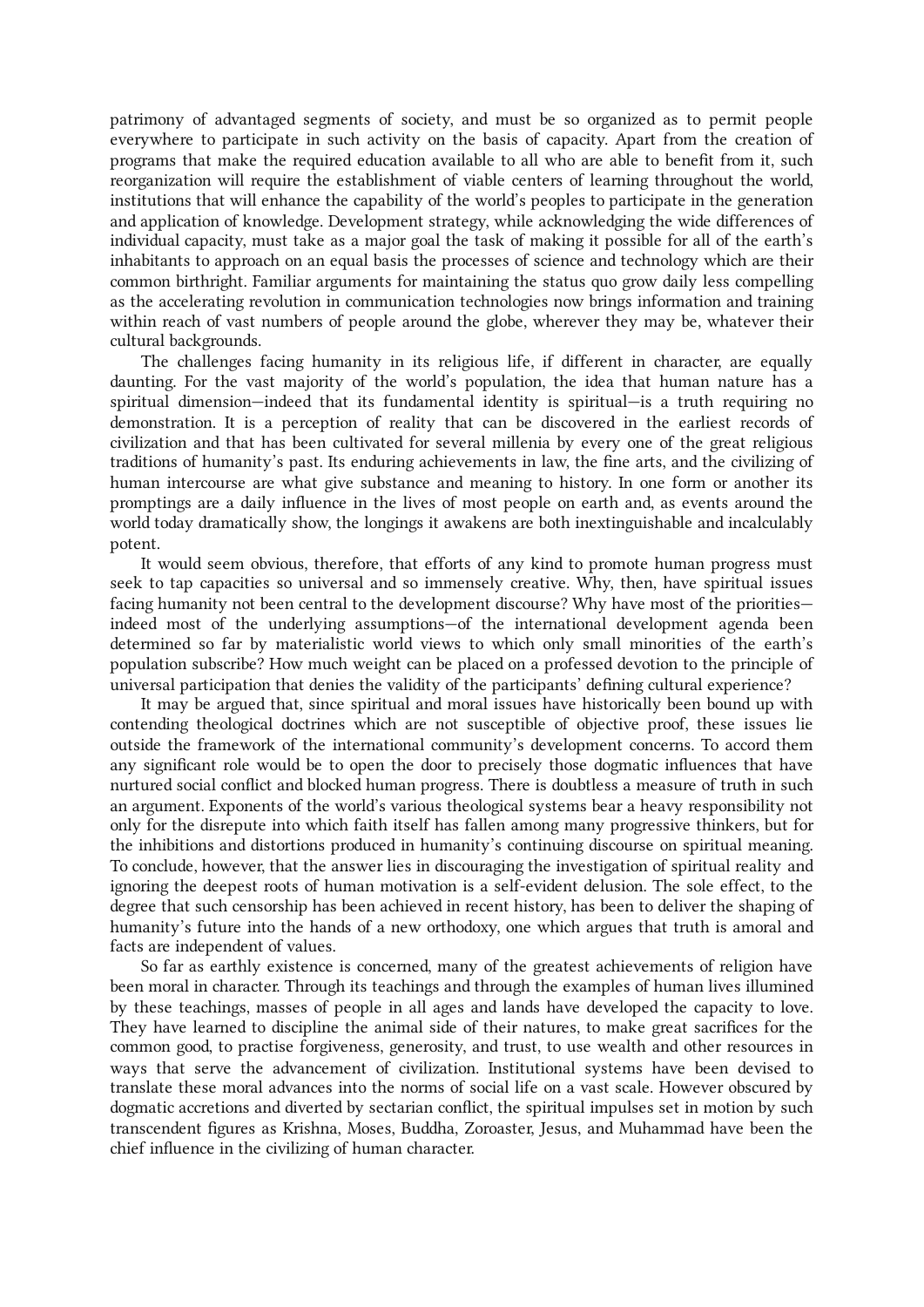patrimony of advantaged segments of society, and must be so organized as to permit people everywhere to participate in such activity on the basis of capacity. Apart from the creation of programs that make the required education available to all who are able to benefit from it, such reorganization will require the establishment of viable centers of learning throughout the world, institutions that will enhance the capability of the world's peoples to participate in the generation and application of knowledge. Development strategy, while acknowledging the wide differences of individual capacity, must take as a major goal the task of making it possible for all of the earth's inhabitants to approach on an equal basis the processes of science and technology which are their common birthright. Familiar arguments for maintaining the status quo grow daily less compelling as the accelerating revolution in communication technologies now brings information and training within reach of vast numbers of people around the globe, wherever they may be, whatever their cultural backgrounds.

The challenges facing humanity in its religious life, if different in character, are equally daunting. For the vast majority of the world's population, the idea that human nature has a spiritual dimension—indeed that its fundamental identity is spiritual—is a truth requiring no demonstration. It is a perception of reality that can be discovered in the earliest records of civilization and that has been cultivated for several millenia by every one of the great religious traditions of humanity's past. Its enduring achievements in law, the fine arts, and the civilizing of human intercourse are what give substance and meaning to history. In one form or another its promptings are a daily influence in the lives of most people on earth and, as events around the world today dramatically show, the longings it awakens are both inextinguishable and incalculably potent.

It would seem obvious, therefore, that efforts of any kind to promote human progress must seek to tap capacities so universal and so immensely creative. Why, then, have spiritual issues facing humanity not been central to the development discourse? Why have most of the priorities indeed most of the underlying assumptions—of the international development agenda been determined so far by materialistic world views to which only small minorities of the earth's population subscribe? How much weight can be placed on a professed devotion to the principle of universal participation that denies the validity of the participants' defining cultural experience?

It may be argued that, since spiritual and moral issues have historically been bound up with contending theological doctrines which are not susceptible of objective proof, these issues lie outside the framework of the international community's development concerns. To accord them any significant role would be to open the door to precisely those dogmatic influences that have nurtured social conflict and blocked human progress. There is doubtless a measure of truth in such an argument. Exponents of the world's various theological systems bear a heavy responsibility not only for the disrepute into which faith itself has fallen among many progressive thinkers, but for the inhibitions and distortions produced in humanity's continuing discourse on spiritual meaning. To conclude, however, that the answer lies in discouraging the investigation of spiritual reality and ignoring the deepest roots of human motivation is a self-evident delusion. The sole effect, to the degree that such censorship has been achieved in recent history, has been to deliver the shaping of humanity's future into the hands of a new orthodoxy, one which argues that truth is amoral and facts are independent of values.

So far as earthly existence is concerned, many of the greatest achievements of religion have been moral in character. Through its teachings and through the examples of human lives illumined by these teachings, masses of people in all ages and lands have developed the capacity to love. They have learned to discipline the animal side of their natures, to make great sacrifices for the common good, to practise forgiveness, generosity, and trust, to use wealth and other resources in ways that serve the advancement of civilization. Institutional systems have been devised to translate these moral advances into the norms of social life on a vast scale. However obscured by dogmatic accretions and diverted by sectarian conflict, the spiritual impulses set in motion by such transcendent figures as Krishna, Moses, Buddha, Zoroaster, Jesus, and Muhammad have been the chief influence in the civilizing of human character.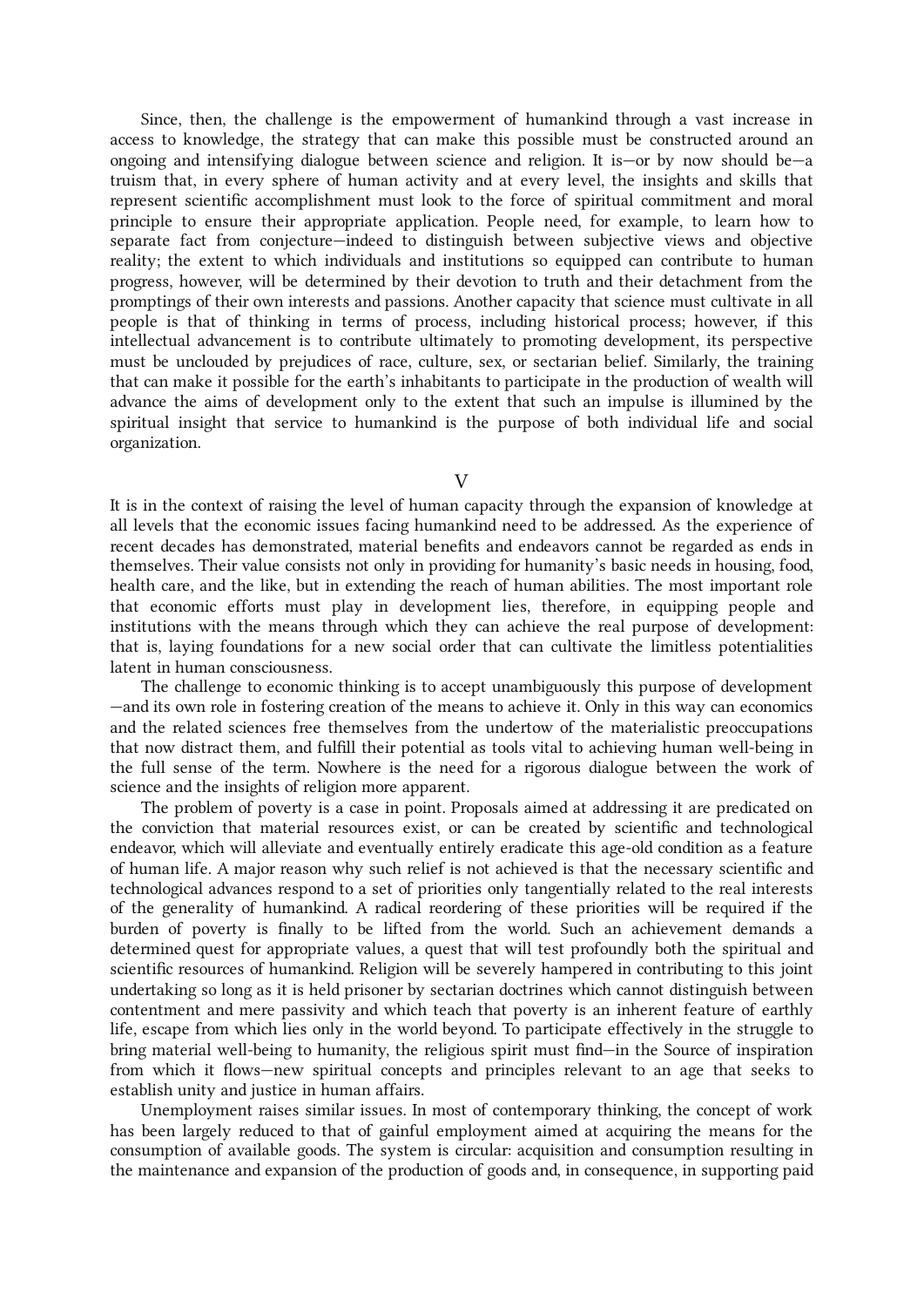Since, then, the challenge is the empowerment of humankind through a vast increase in access to knowledge, the strategy that can make this possible must be constructed around an ongoing and intensifying dialogue between science and religion. It is—or by now should be—a truism that, in every sphere of human activity and at every level, the insights and skills that represent scientific accomplishment must look to the force of spiritual commitment and moral principle to ensure their appropriate application. People need, for example, to learn how to separate fact from conjecture—indeed to distinguish between subjective views and objective reality; the extent to which individuals and institutions so equipped can contribute to human progress, however, will be determined by their devotion to truth and their detachment from the promptings of their own interests and passions. Another capacity that science must cultivate in all people is that of thinking in terms of process, including historical process; however, if this intellectual advancement is to contribute ultimately to promoting development, its perspective must be unclouded by prejudices of race, culture, sex, or sectarian belief. Similarly, the training that can make it possible for the earth's inhabitants to participate in the production of wealth will advance the aims of development only to the extent that such an impulse is illumined by the spiritual insight that service to humankind is the purpose of both individual life and social organization.

 $\overline{V}$ 

It is in the context of raising the level of human capacity through the expansion of knowledge at all levels that the economic issues facing humankind need to be addressed. As the experience of recent decades has demonstrated, material benefits and endeavors cannot be regarded as ends in themselves. Their value consists not only in providing for humanity's basic needs in housing, food, health care, and the like, but in extending the reach of human abilities. The most important role that economic efforts must play in development lies, therefore, in equipping people and institutions with the means through which they can achieve the real purpose of development: that is, laying foundations for a new social order that can cultivate the limitless potentialities latent in human consciousness.

The challenge to economic thinking is to accept unambiguously this purpose of development —and its own role in fostering creation of the means to achieve it. Only in this way can economics and the related sciences free themselves from the undertow of the materialistic preoccupations that now distract them, and fulfill their potential as tools vital to achieving human well-being in the full sense of the term. Nowhere is the need for a rigorous dialogue between the work of science and the insights of religion more apparent.

The problem of poverty is a case in point. Proposals aimed at addressing it are predicated on the conviction that material resources exist, or can be created by scientific and technological endeavor, which will alleviate and eventually entirely eradicate this age-old condition as a feature of human life. A major reason why such relief is not achieved is that the necessary scientific and technological advances respond to a set of priorities only tangentially related to the real interests of the generality of humankind. A radical reordering of these priorities will be required if the burden of poverty is finally to be lifted from the world. Such an achievement demands a determined quest for appropriate values, a quest that will test profoundly both the spiritual and scientific resources of humankind. Religion will be severely hampered in contributing to this joint undertaking so long as it is held prisoner by sectarian doctrines which cannot distinguish between contentment and mere passivity and which teach that poverty is an inherent feature of earthly life, escape from which lies only in the world beyond. To participate effectively in the struggle to bring material well-being to humanity, the religious spirit must find—in the Source of inspiration from which it flows—new spiritual concepts and principles relevant to an age that seeks to establish unity and justice in human affairs.

Unemployment raises similar issues. In most of contemporary thinking, the concept of work has been largely reduced to that of gainful employment aimed at acquiring the means for the consumption of available goods. The system is circular: acquisition and consumption resulting in the maintenance and expansion of the production of goods and, in consequence, in supporting paid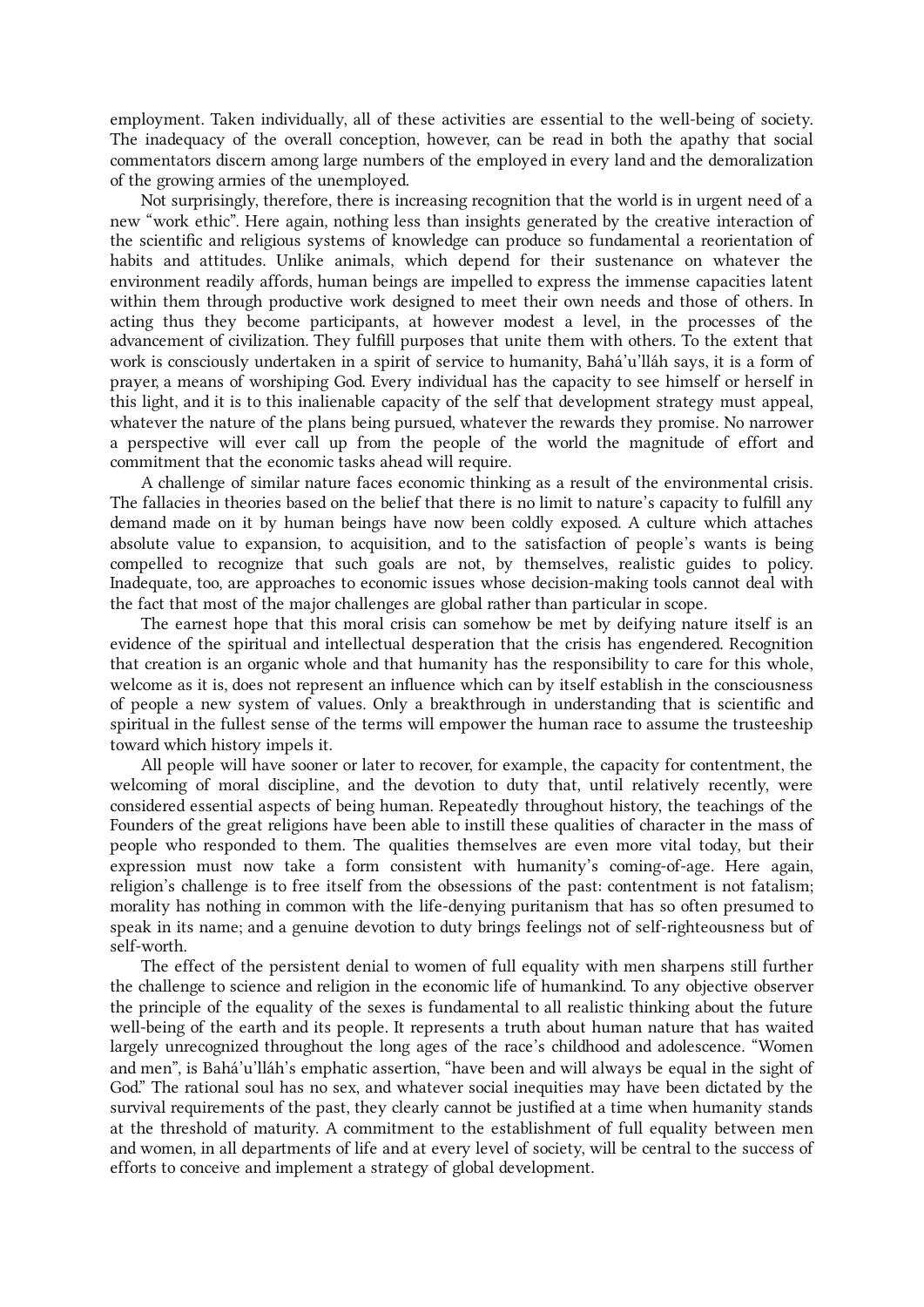employment. Taken individually, all of these activities are essential to the well-being of society. The inadequacy of the overall conception, however, can be read in both the apathy that social commentators discern among large numbers of the employed in every land and the demoralization of the growing armies of the unemployed.

Not surprisingly, therefore, there is increasing recognition that the world is in urgent need of a new "work ethic". Here again, nothing less than insights generated by the creative interaction of the scientific and religious systems of knowledge can produce so fundamental a reorientation of habits and attitudes. Unlike animals, which depend for their sustenance on whatever the environment readily affords, human beings are impelled to express the immense capacities latent within them through productive work designed to meet their own needs and those of others. In acting thus they become participants, at however modest a level, in the processes of the advancement of civilization. They fulfill purposes that unite them with others. To the extent that work is consciously undertaken in a spirit of service to humanity, Bahá'u'lláh says, it is a form of prayer, a means of worshiping God. Every individual has the capacity to see himself or herself in this light, and it is to this inalienable capacity of the self that development strategy must appeal, whatever the nature of the plans being pursued, whatever the rewards they promise. No narrower a perspective will ever call up from the people of the world the magnitude of effort and commitment that the economic tasks ahead will require.

A challenge of similar nature faces economic thinking as a result of the environmental crisis. The fallacies in theories based on the belief that there is no limit to nature's capacity to fulfill any demand made on it by human beings have now been coldly exposed. A culture which attaches absolute value to expansion, to acquisition, and to the satisfaction of people's wants is being compelled to recognize that such goals are not, by themselves, realistic guides to policy. Inadequate, too, are approaches to economic issues whose decision-making tools cannot deal with the fact that most of the major challenges are global rather than particular in scope.

The earnest hope that this moral crisis can somehow be met by deifying nature itself is an evidence of the spiritual and intellectual desperation that the crisis has engendered. Recognition that creation is an organic whole and that humanity has the responsibility to care for this whole, welcome as it is, does not represent an influence which can by itself establish in the consciousness of people a new system of values. Only a breakthrough in understanding that is scientific and spiritual in the fullest sense of the terms will empower the human race to assume the trusteeship toward which history impels it.

All people will have sooner or later to recover, for example, the capacity for contentment, the welcoming of moral discipline, and the devotion to duty that, until relatively recently, were considered essential aspects of being human. Repeatedly throughout history, the teachings of the Founders of the great religions have been able to instill these qualities of character in the mass of people who responded to them. The qualities themselves are even more vital today, but their expression must now take a form consistent with humanity's coming-of-age. Here again, religion's challenge is to free itself from the obsessions of the past: contentment is not fatalism; morality has nothing in common with the life-denying puritanism that has so often presumed to speak in its name; and a genuine devotion to duty brings feelings not of self-righteousness but of self-worth.

The effect of the persistent denial to women of full equality with men sharpens still further the challenge to science and religion in the economic life of humankind. To any objective observer the principle of the equality of the sexes is fundamental to all realistic thinking about the future well-being of the earth and its people. It represents a truth about human nature that has waited largely unrecognized throughout the long ages of the race's childhood and adolescence. "Women and men", is Bahá'u'lláh's emphatic assertion, "have been and will always be equal in the sight of God." The rational soul has no sex, and whatever social inequities may have been dictated by the survival requirements of the past, they clearly cannot be justified at a time when humanity stands at the threshold of maturity. A commitment to the establishment of full equality between men and women, in all departments of life and at every level of society, will be central to the success of efforts to conceive and implement a strategy of global development.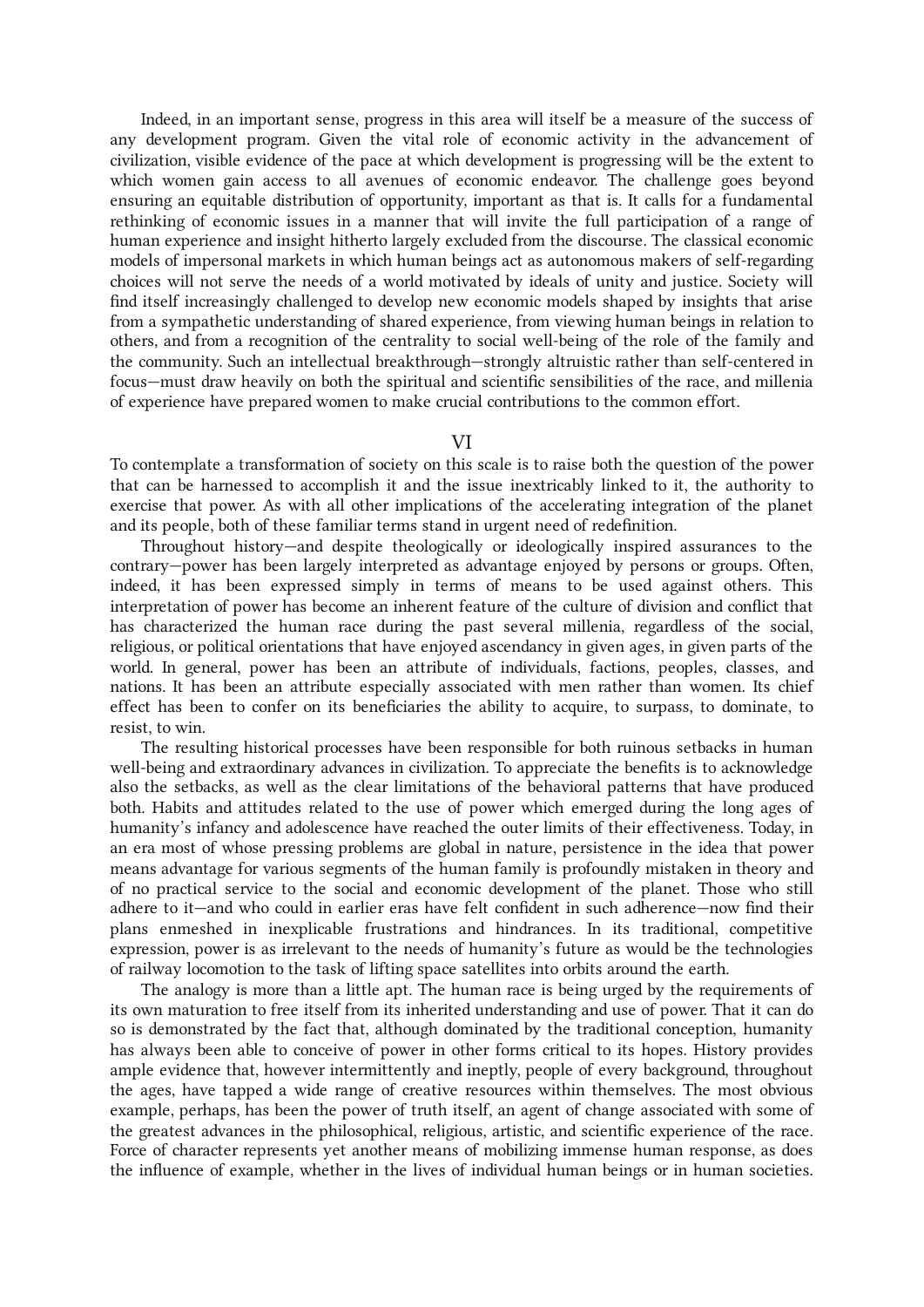Indeed, in an important sense, progress in this area will itself be a measure of the success of any development program. Given the vital role of economic activity in the advancement of civilization, visible evidence of the pace at which development is progressing will be the extent to which women gain access to all avenues of economic endeavor. The challenge goes beyond ensuring an equitable distribution of opportunity, important as that is. It calls for a fundamental rethinking of economic issues in a manner that will invite the full participation of a range of human experience and insight hitherto largely excluded from the discourse. The classical economic models of impersonal markets in which human beings act as autonomous makers of self-regarding choices will not serve the needs of a world motivated by ideals of unity and justice. Society will find itself increasingly challenged to develop new economic models shaped by insights that arise from a sympathetic understanding of shared experience, from viewing human beings in relation to others, and from a recognition of the centrality to social well-being of the role of the family and the community. Such an intellectual breakthrough—strongly altruistic rather than self-centered in focus—must draw heavily on both the spiritual and scientific sensibilities of the race, and millenia of experience have prepared women to make crucial contributions to the common effort.

## VI

To contemplate a transformation of society on this scale is to raise both the question of the power that can be harnessed to accomplish it and the issue inextricably linked to it, the authority to exercise that power. As with all other implications of the accelerating integration of the planet and its people, both of these familiar terms stand in urgent need of redefinition.

Throughout history—and despite theologically or ideologically inspired assurances to the contrary—power has been largely interpreted as advantage enjoyed by persons or groups. Often, indeed, it has been expressed simply in terms of means to be used against others. This interpretation of power has become an inherent feature of the culture of division and conflict that has characterized the human race during the past several millenia, regardless of the social, religious, or political orientations that have enjoyed ascendancy in given ages, in given parts of the world. In general, power has been an attribute of individuals, factions, peoples, classes, and nations. It has been an attribute especially associated with men rather than women. Its chief effect has been to confer on its beneficiaries the ability to acquire, to surpass, to dominate, to resist, to win.

The resulting historical processes have been responsible for both ruinous setbacks in human well-being and extraordinary advances in civilization. To appreciate the benefits is to acknowledge also the setbacks, as well as the clear limitations of the behavioral patterns that have produced both. Habits and attitudes related to the use of power which emerged during the long ages of humanity's infancy and adolescence have reached the outer limits of their effectiveness. Today, in an era most of whose pressing problems are global in nature, persistence in the idea that power means advantage for various segments of the human family is profoundly mistaken in theory and of no practical service to the social and economic development of the planet. Those who still adhere to it—and who could in earlier eras have felt confident in such adherence—now find their plans enmeshed in inexplicable frustrations and hindrances. In its traditional, competitive expression, power is as irrelevant to the needs of humanity's future as would be the technologies of railway locomotion to the task of lifting space satellites into orbits around the earth.

The analogy is more than a little apt. The human race is being urged by the requirements of its own maturation to free itself from its inherited understanding and use of power. That it can do so is demonstrated by the fact that, although dominated by the traditional conception, humanity has always been able to conceive of power in other forms critical to its hopes. History provides ample evidence that, however intermittently and ineptly, people of every background, throughout the ages, have tapped a wide range of creative resources within themselves. The most obvious example, perhaps, has been the power of truth itself, an agent of change associated with some of the greatest advances in the philosophical, religious, artistic, and scientific experience of the race. Force of character represents yet another means of mobilizing immense human response, as does the influence of example, whether in the lives of individual human beings or in human societies.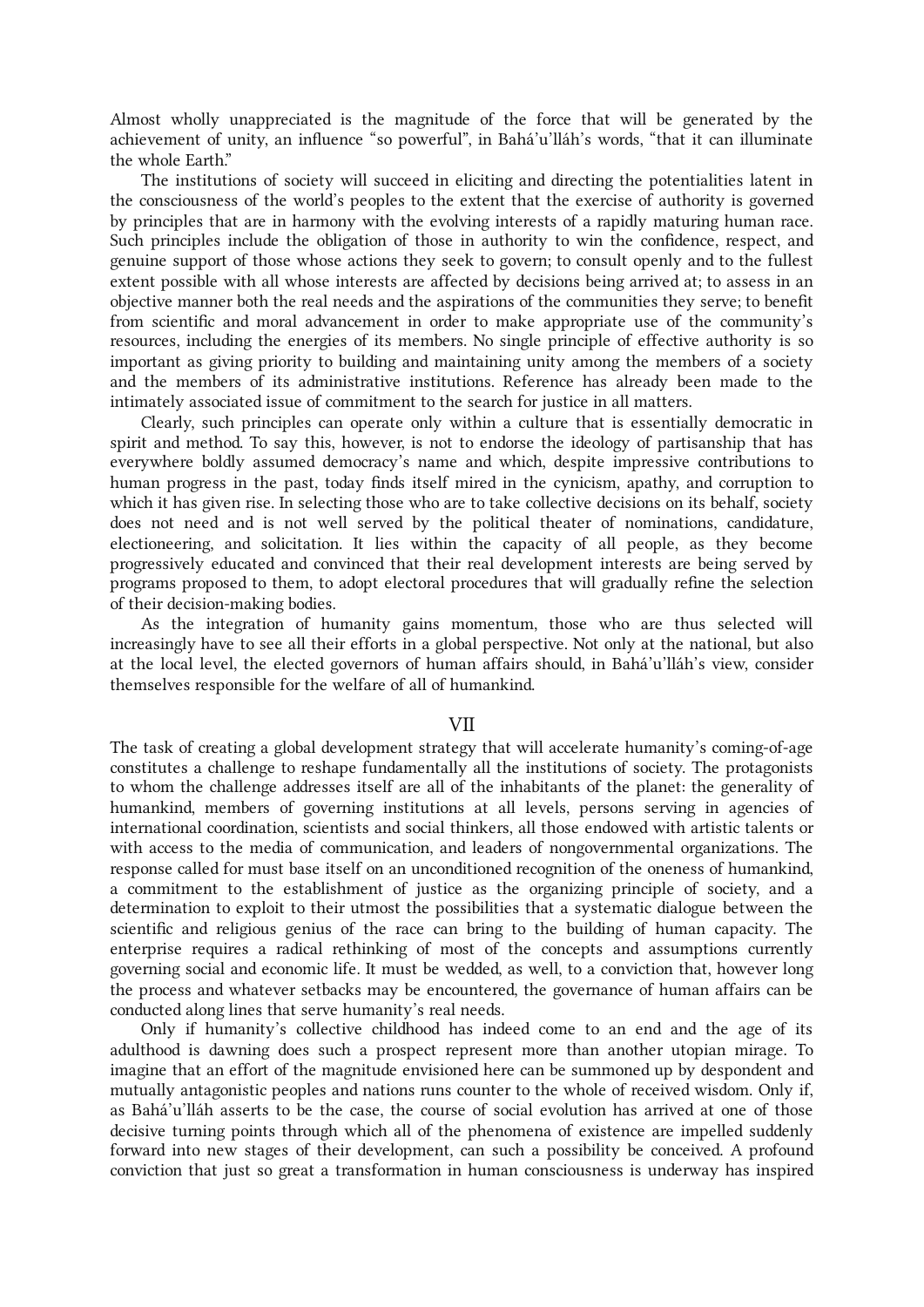Almost wholly unappreciated is the magnitude of the force that will be generated by the achievement of unity, an influence "so powerful", in Bahá'u'lláh's words, "that it can illuminate the whole Earth."

The institutions of society will succeed in eliciting and directing the potentialities latent in the consciousness of the world's peoples to the extent that the exercise of authority is governed by principles that are in harmony with the evolving interests of a rapidly maturing human race. Such principles include the obligation of those in authority to win the confidence, respect, and genuine support of those whose actions they seek to govern; to consult openly and to the fullest extent possible with all whose interests are affected by decisions being arrived at; to assess in an objective manner both the real needs and the aspirations of the communities they serve; to benefit from scientific and moral advancement in order to make appropriate use of the community's resources, including the energies of its members. No single principle of effective authority is so important as giving priority to building and maintaining unity among the members of a society and the members of its administrative institutions. Reference has already been made to the intimately associated issue of commitment to the search for justice in all matters.

Clearly, such principles can operate only within a culture that is essentially democratic in spirit and method. To say this, however, is not to endorse the ideology of partisanship that has everywhere boldly assumed democracy's name and which, despite impressive contributions to human progress in the past, today finds itself mired in the cynicism, apathy, and corruption to which it has given rise. In selecting those who are to take collective decisions on its behalf, society does not need and is not well served by the political theater of nominations, candidature, electioneering, and solicitation. It lies within the capacity of all people, as they become progressively educated and convinced that their real development interests are being served by programs proposed to them, to adopt electoral procedures that will gradually refine the selection of their decision-making bodies.

As the integration of humanity gains momentum, those who are thus selected will increasingly have to see all their efforts in a global perspective. Not only at the national, but also at the local level, the elected governors of human affairs should, in Bahá'u'lláh's view, consider themselves responsible for the welfare of all of humankind.

#### VII

The task of creating a global development strategy that will accelerate humanity's coming-of-age constitutes a challenge to reshape fundamentally all the institutions of society. The protagonists to whom the challenge addresses itself are all of the inhabitants of the planet: the generality of humankind, members of governing institutions at all levels, persons serving in agencies of international coordination, scientists and social thinkers, all those endowed with artistic talents or with access to the media of communication, and leaders of nongovernmental organizations. The response called for must base itself on an unconditioned recognition of the oneness of humankind, a commitment to the establishment of justice as the organizing principle of society, and a determination to exploit to their utmost the possibilities that a systematic dialogue between the scientific and religious genius of the race can bring to the building of human capacity. The enterprise requires a radical rethinking of most of the concepts and assumptions currently governing social and economic life. It must be wedded, as well, to a conviction that, however long the process and whatever setbacks may be encountered, the governance of human affairs can be conducted along lines that serve humanity's real needs.

Only if humanity's collective childhood has indeed come to an end and the age of its adulthood is dawning does such a prospect represent more than another utopian mirage. To imagine that an effort of the magnitude envisioned here can be summoned up by despondent and mutually antagonistic peoples and nations runs counter to the whole of received wisdom. Only if, as Bahá'u'lláh asserts to be the case, the course of social evolution has arrived at one of those decisive turning points through which all of the phenomena of existence are impelled suddenly forward into new stages of their development, can such a possibility be conceived. A profound conviction that just so great a transformation in human consciousness is underway has inspired